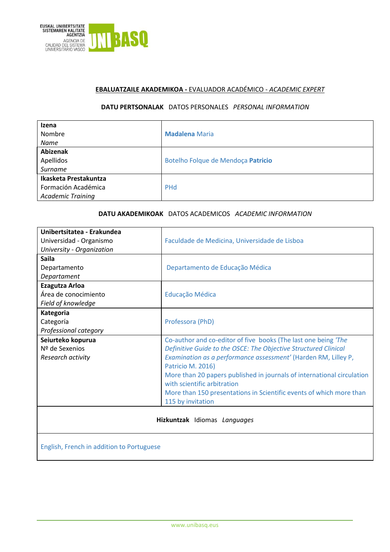

## **EBALUATZAILE AKADEMIKOA -** EVALUADOR ACADÉMICO - *ACADEMIC EXPERT*

## **DATU PERTSONALAK** DATOS PERSONALES*PERSONAL INFORMATION*

| Izena<br>Nombre<br><b>Name</b>                                           | <b>Madalena</b> Maria              |
|--------------------------------------------------------------------------|------------------------------------|
| Abizenak<br>Apellidos<br>Surname                                         | Botelho Folque de Mendoça Patricio |
| Ikasketa Prestakuntza<br>Formación Académica<br><b>Academic Training</b> | <b>PHd</b>                         |

### **DATU AKADEMIKOAK** DATOS ACADEMICOS*ACADEMIC INFORMATION*

| Unibertsitatea - Erakundea                |                                                                        |
|-------------------------------------------|------------------------------------------------------------------------|
| Universidad - Organismo                   | Faculdade de Medicina, Universidade de Lisboa                          |
| University - Organization                 |                                                                        |
| <b>Saila</b>                              |                                                                        |
|                                           |                                                                        |
| Departamento                              | Departamento de Educação Médica                                        |
| Departament                               |                                                                        |
| Ezagutza Arloa                            |                                                                        |
| Área de conocimiento                      | Educação Médica                                                        |
| Field of knowledge                        |                                                                        |
| Kategoria                                 |                                                                        |
| Categoría                                 | Professora (PhD)                                                       |
| Professional category                     |                                                                        |
| Seiurteko kopurua                         | Co-author and co-editor of five books (The last one being 'The         |
| Nº de Sexenios                            | Definitive Guide to the OSCE: The Objective Structured Clinical        |
| Research activity                         | Examination as a performance assessment' (Harden RM, Lilley P,         |
|                                           | <b>Patricio M. 2016)</b>                                               |
|                                           | More than 20 papers published in journals of international circulation |
|                                           | with scientific arbitration                                            |
|                                           | More than 150 presentations in Scientific events of which more than    |
|                                           | 115 by invitation                                                      |
|                                           |                                                                        |
|                                           |                                                                        |
| Hizkuntzak Idiomas Languages              |                                                                        |
|                                           |                                                                        |
|                                           |                                                                        |
| English, French in addition to Portuguese |                                                                        |